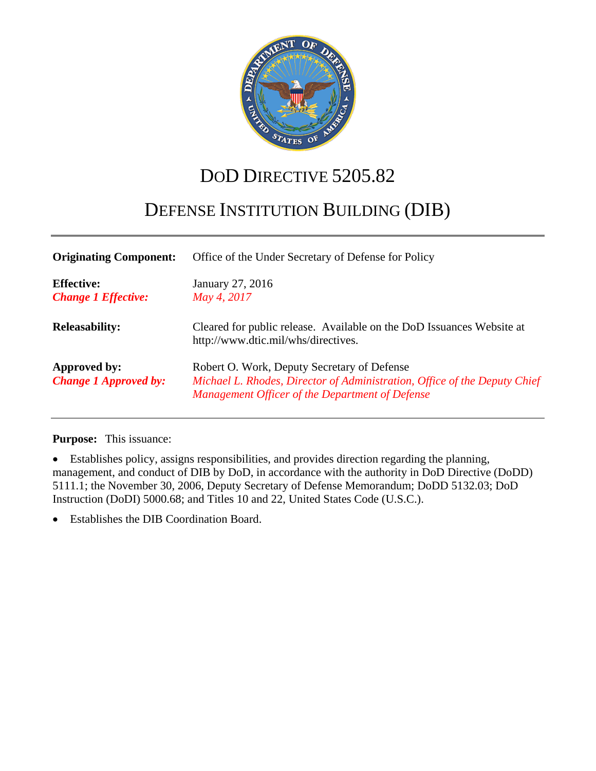

# DOD DIRECTIVE 5205.82

# DEFENSE INSTITUTION BUILDING (DIB)

| <b>Originating Component:</b>                   | Office of the Under Secretary of Defense for Policy                                                                                                                         |  |  |
|-------------------------------------------------|-----------------------------------------------------------------------------------------------------------------------------------------------------------------------------|--|--|
| <b>Effective:</b><br><b>Change 1 Effective:</b> | January 27, 2016<br>May 4, 2017                                                                                                                                             |  |  |
| <b>Releasability:</b>                           | Cleared for public release. Available on the DoD Issuances Website at<br>http://www.dtic.mil/whs/directives.                                                                |  |  |
| Approved by:<br><b>Change 1 Approved by:</b>    | Robert O. Work, Deputy Secretary of Defense<br>Michael L. Rhodes, Director of Administration, Office of the Deputy Chief<br>Management Officer of the Department of Defense |  |  |

**Purpose:** This issuance:

• Establishes policy, assigns responsibilities, and provides direction regarding the planning, management, and conduct of DIB by DoD, in accordance with the authority in DoD Directive (DoDD) 5111.1; the November 30, 2006, Deputy Secretary of Defense Memorandum; DoDD 5132.03; DoD Instruction (DoDI) 5000.68; and Titles 10 and 22, United States Code (U.S.C.).

• Establishes the DIB Coordination Board.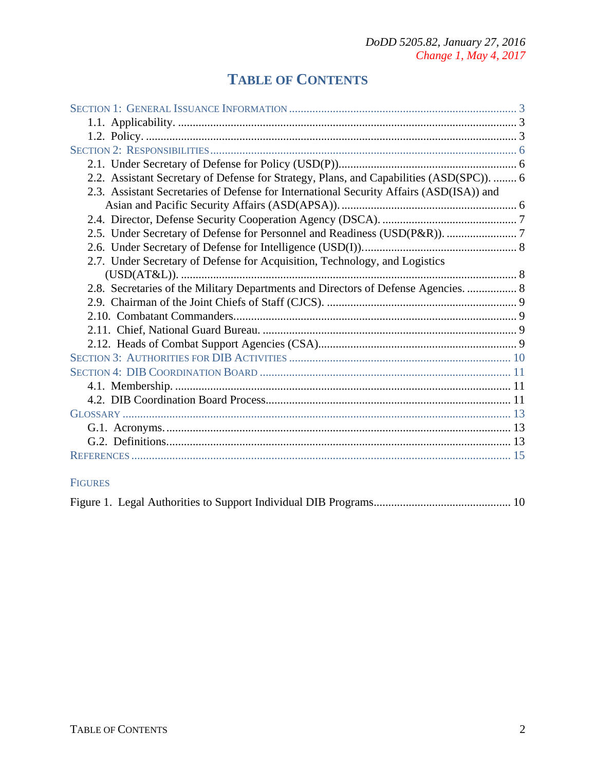## **TABLE OF CONTENTS**

| 2.2. Assistant Secretary of Defense for Strategy, Plans, and Capabilities (ASD(SPC)).  6 |  |
|------------------------------------------------------------------------------------------|--|
| 2.3. Assistant Secretaries of Defense for International Security Affairs (ASD(ISA)) and  |  |
|                                                                                          |  |
|                                                                                          |  |
|                                                                                          |  |
|                                                                                          |  |
| 2.7. Under Secretary of Defense for Acquisition, Technology, and Logistics               |  |
|                                                                                          |  |
| 2.8. Secretaries of the Military Departments and Directors of Defense Agencies.  8       |  |
|                                                                                          |  |
|                                                                                          |  |
|                                                                                          |  |
|                                                                                          |  |
|                                                                                          |  |
|                                                                                          |  |
|                                                                                          |  |
|                                                                                          |  |
|                                                                                          |  |
|                                                                                          |  |
|                                                                                          |  |
|                                                                                          |  |
|                                                                                          |  |
| <b>FIGURES</b>                                                                           |  |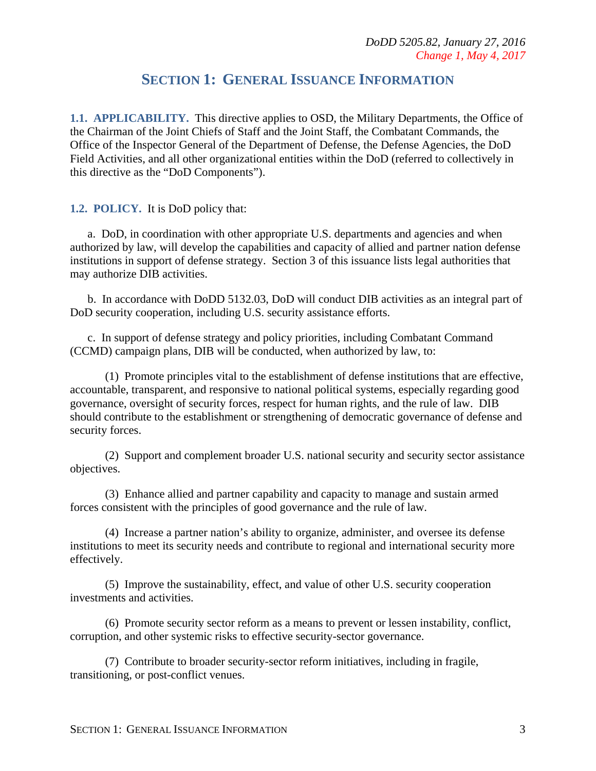## **SECTION 1: GENERAL ISSUANCE INFORMATION**

<span id="page-2-1"></span><span id="page-2-0"></span>**1.1. APPLICABILITY.** This directive applies to OSD, the Military Departments, the Office of the Chairman of the Joint Chiefs of Staff and the Joint Staff, the Combatant Commands, the Office of the Inspector General of the Department of Defense, the Defense Agencies, the DoD Field Activities, and all other organizational entities within the DoD (referred to collectively in this directive as the "DoD Components").

<span id="page-2-2"></span>**1.2. POLICY.** It is DoD policy that:

a. DoD, in coordination with other appropriate U.S. departments and agencies and when authorized by law, will develop the capabilities and capacity of allied and partner nation defense institutions in support of defense strategy. Section 3 of this issuance lists legal authorities that may authorize DIB activities.

b. In accordance with DoDD 5132.03, DoD will conduct DIB activities as an integral part of DoD security cooperation, including U.S. security assistance efforts.

c. In support of defense strategy and policy priorities, including Combatant Command (CCMD) campaign plans, DIB will be conducted, when authorized by law, to:

(1) Promote principles vital to the establishment of defense institutions that are effective, accountable, transparent, and responsive to national political systems, especially regarding good governance, oversight of security forces, respect for human rights, and the rule of law. DIB should contribute to the establishment or strengthening of democratic governance of defense and security forces.

(2) Support and complement broader U.S. national security and security sector assistance objectives.

(3) Enhance allied and partner capability and capacity to manage and sustain armed forces consistent with the principles of good governance and the rule of law.

(4) Increase a partner nation's ability to organize, administer, and oversee its defense institutions to meet its security needs and contribute to regional and international security more effectively.

(5) Improve the sustainability, effect, and value of other U.S. security cooperation investments and activities.

(6) Promote security sector reform as a means to prevent or lessen instability, conflict, corruption, and other systemic risks to effective security-sector governance.

(7) Contribute to broader security-sector reform initiatives, including in fragile, transitioning, or post-conflict venues.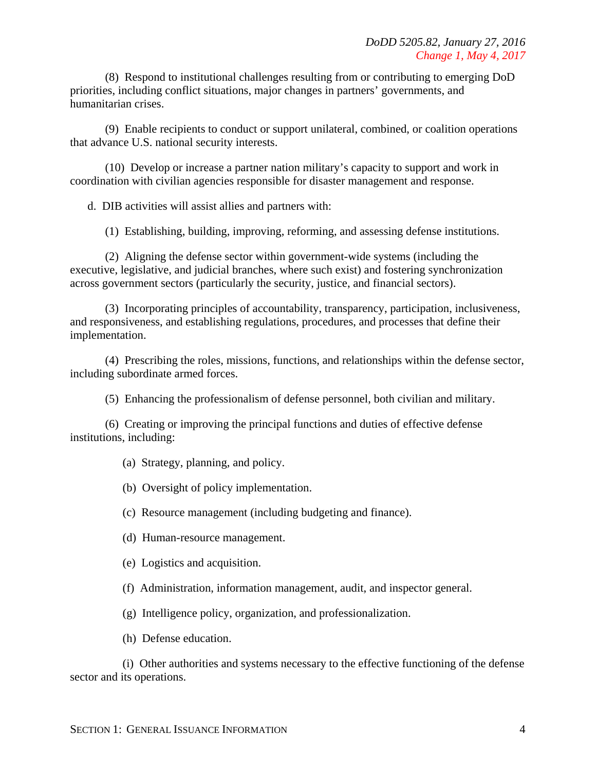(8) Respond to institutional challenges resulting from or contributing to emerging DoD priorities, including conflict situations, major changes in partners' governments, and humanitarian crises.

(9) Enable recipients to conduct or support unilateral, combined, or coalition operations that advance U.S. national security interests.

(10) Develop or increase a partner nation military's capacity to support and work in coordination with civilian agencies responsible for disaster management and response.

d. DIB activities will assist allies and partners with:

(1) Establishing, building, improving, reforming, and assessing defense institutions.

(2) Aligning the defense sector within government-wide systems (including the executive, legislative, and judicial branches, where such exist) and fostering synchronization across government sectors (particularly the security, justice, and financial sectors).

(3) Incorporating principles of accountability, transparency, participation, inclusiveness, and responsiveness, and establishing regulations, procedures, and processes that define their implementation.

(4) Prescribing the roles, missions, functions, and relationships within the defense sector, including subordinate armed forces.

(5) Enhancing the professionalism of defense personnel, both civilian and military.

(6) Creating or improving the principal functions and duties of effective defense institutions, including:

(a) Strategy, planning, and policy.

(b) Oversight of policy implementation.

(c) Resource management (including budgeting and finance).

(d) Human-resource management.

(e) Logistics and acquisition.

(f) Administration, information management, audit, and inspector general.

(g) Intelligence policy, organization, and professionalization.

(h) Defense education.

(i) Other authorities and systems necessary to the effective functioning of the defense sector and its operations.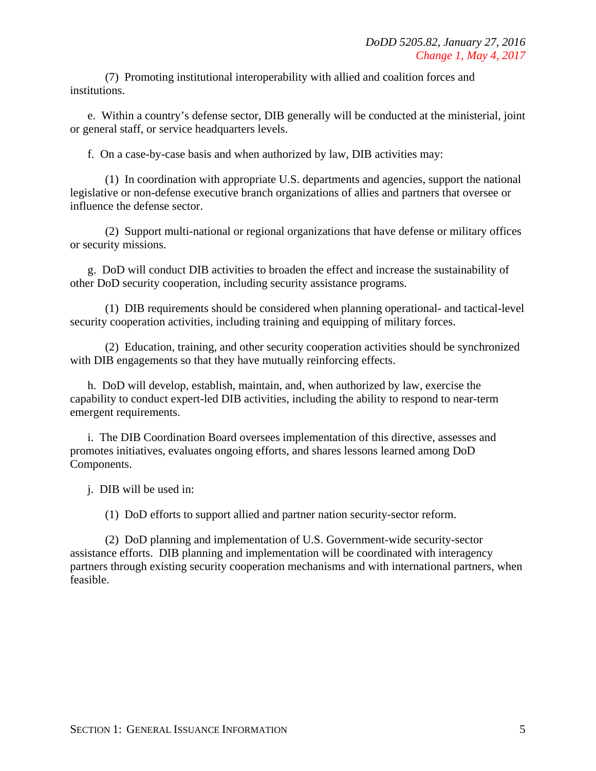(7) Promoting institutional interoperability with allied and coalition forces and institutions.

e. Within a country's defense sector, DIB generally will be conducted at the ministerial, joint or general staff, or service headquarters levels.

f. On a case-by-case basis and when authorized by law, DIB activities may:

(1) In coordination with appropriate U.S. departments and agencies, support the national legislative or non-defense executive branch organizations of allies and partners that oversee or influence the defense sector.

(2) Support multi-national or regional organizations that have defense or military offices or security missions.

g. DoD will conduct DIB activities to broaden the effect and increase the sustainability of other DoD security cooperation, including security assistance programs.

(1) DIB requirements should be considered when planning operational- and tactical-level security cooperation activities, including training and equipping of military forces.

(2) Education, training, and other security cooperation activities should be synchronized with DIB engagements so that they have mutually reinforcing effects.

h. DoD will develop, establish, maintain, and, when authorized by law, exercise the capability to conduct expert-led DIB activities, including the ability to respond to near-term emergent requirements.

i. The DIB Coordination Board oversees implementation of this directive, assesses and promotes initiatives, evaluates ongoing efforts, and shares lessons learned among DoD Components.

j. DIB will be used in:

(1) DoD efforts to support allied and partner nation security-sector reform.

(2) DoD planning and implementation of U.S. Government-wide security-sector assistance efforts. DIB planning and implementation will be coordinated with interagency partners through existing security cooperation mechanisms and with international partners, when feasible.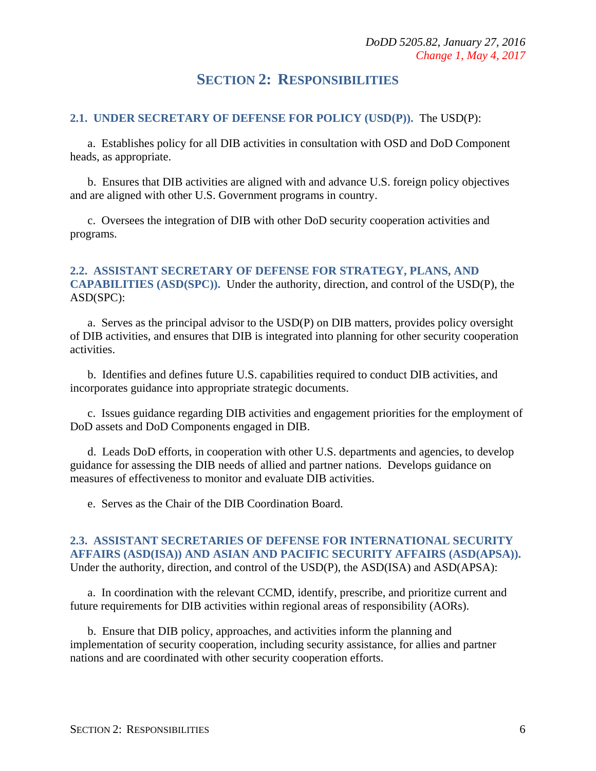## **SECTION 2: RESPONSIBILITIES**

#### <span id="page-5-1"></span><span id="page-5-0"></span>**2.1. UNDER SECRETARY OF DEFENSE FOR POLICY (USD(P)).** The USD(P):

a. Establishes policy for all DIB activities in consultation with OSD and DoD Component heads, as appropriate.

b. Ensures that DIB activities are aligned with and advance U.S. foreign policy objectives and are aligned with other U.S. Government programs in country.

c. Oversees the integration of DIB with other DoD security cooperation activities and programs.

#### <span id="page-5-2"></span>**2.2. ASSISTANT SECRETARY OF DEFENSE FOR STRATEGY, PLANS, AND CAPABILITIES (ASD(SPC)).** Under the authority, direction, and control of the USD(P), the ASD(SPC):

a. Serves as the principal advisor to the USD(P) on DIB matters, provides policy oversight of DIB activities, and ensures that DIB is integrated into planning for other security cooperation activities.

b. Identifies and defines future U.S. capabilities required to conduct DIB activities, and incorporates guidance into appropriate strategic documents.

c. Issues guidance regarding DIB activities and engagement priorities for the employment of DoD assets and DoD Components engaged in DIB.

d. Leads DoD efforts, in cooperation with other U.S. departments and agencies, to develop guidance for assessing the DIB needs of allied and partner nations. Develops guidance on measures of effectiveness to monitor and evaluate DIB activities.

e. Serves as the Chair of the DIB Coordination Board.

#### <span id="page-5-3"></span>**2.3. ASSISTANT SECRETARIES OF DEFENSE FOR INTERNATIONAL SECURITY AFFAIRS (ASD(ISA)) AND ASIAN AND PACIFIC SECURITY AFFAIRS (ASD(APSA)).** Under the authority, direction, and control of the USD(P), the ASD(ISA) and ASD(APSA):

a. In coordination with the relevant CCMD, identify, prescribe, and prioritize current and future requirements for DIB activities within regional areas of responsibility (AORs).

b. Ensure that DIB policy, approaches, and activities inform the planning and implementation of security cooperation, including security assistance, for allies and partner nations and are coordinated with other security cooperation efforts.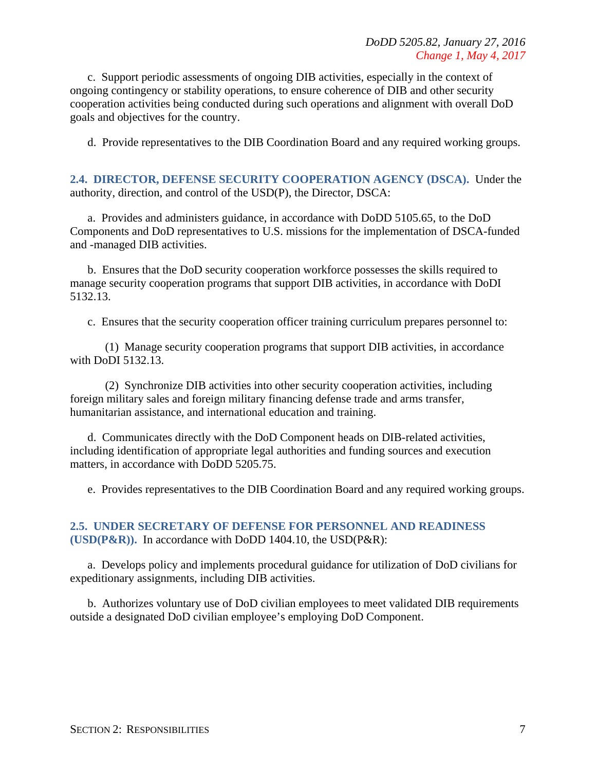c. Support periodic assessments of ongoing DIB activities, especially in the context of ongoing contingency or stability operations, to ensure coherence of DIB and other security cooperation activities being conducted during such operations and alignment with overall DoD goals and objectives for the country.

d. Provide representatives to the DIB Coordination Board and any required working groups.

<span id="page-6-0"></span>**2.4. DIRECTOR, DEFENSE SECURITY COOPERATION AGENCY (DSCA).** Under the authority, direction, and control of the USD(P), the Director, DSCA:

a. Provides and administers guidance, in accordance with DoDD 5105.65, to the DoD Components and DoD representatives to U.S. missions for the implementation of DSCA-funded and -managed DIB activities.

b. Ensures that the DoD security cooperation workforce possesses the skills required to manage security cooperation programs that support DIB activities, in accordance with DoDI 5132.13.

c. Ensures that the security cooperation officer training curriculum prepares personnel to:

(1) Manage security cooperation programs that support DIB activities, in accordance with DoDI 5132.13.

(2) Synchronize DIB activities into other security cooperation activities, including foreign military sales and foreign military financing defense trade and arms transfer, humanitarian assistance, and international education and training.

d. Communicates directly with the DoD Component heads on DIB-related activities, including identification of appropriate legal authorities and funding sources and execution matters, in accordance with DoDD 5205.75.

e. Provides representatives to the DIB Coordination Board and any required working groups.

#### <span id="page-6-1"></span>**2.5. UNDER SECRETARY OF DEFENSE FOR PERSONNEL AND READINESS (USD(P&R)).** In accordance with DoDD 1404.10, the USD(P&R):

a. Develops policy and implements procedural guidance for utilization of DoD civilians for expeditionary assignments, including DIB activities.

b. Authorizes voluntary use of DoD civilian employees to meet validated DIB requirements outside a designated DoD civilian employee's employing DoD Component.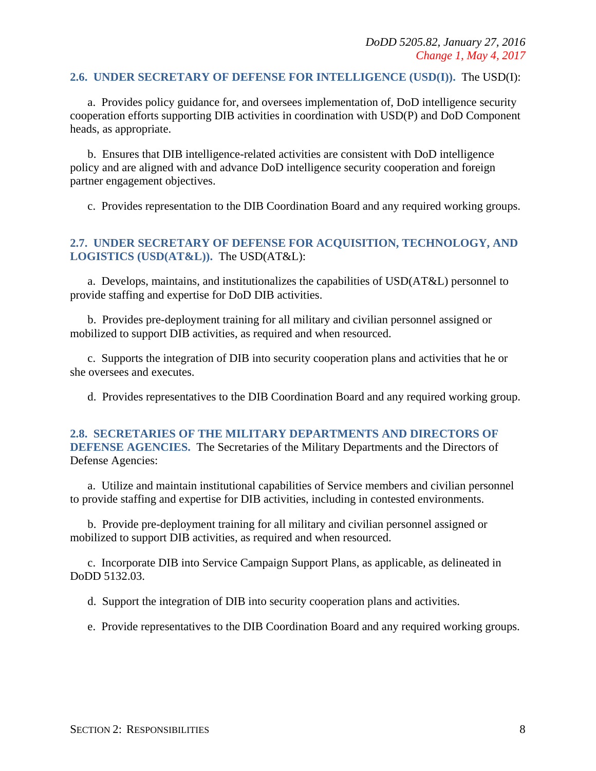#### <span id="page-7-0"></span>**2.6. UNDER SECRETARY OF DEFENSE FOR INTELLIGENCE (USD(I)).** The USD(I):

a. Provides policy guidance for, and oversees implementation of, DoD intelligence security cooperation efforts supporting DIB activities in coordination with USD(P) and DoD Component heads, as appropriate.

b. Ensures that DIB intelligence-related activities are consistent with DoD intelligence policy and are aligned with and advance DoD intelligence security cooperation and foreign partner engagement objectives.

c. Provides representation to the DIB Coordination Board and any required working groups.

#### <span id="page-7-1"></span>**2.7. UNDER SECRETARY OF DEFENSE FOR ACQUISITION, TECHNOLOGY, AND LOGISTICS (USD(AT&L)).** The USD(AT&L):

a. Develops, maintains, and institutionalizes the capabilities of USD(AT&L) personnel to provide staffing and expertise for DoD DIB activities.

b. Provides pre-deployment training for all military and civilian personnel assigned or mobilized to support DIB activities, as required and when resourced.

c. Supports the integration of DIB into security cooperation plans and activities that he or she oversees and executes.

d. Provides representatives to the DIB Coordination Board and any required working group.

#### <span id="page-7-2"></span>**2.8. SECRETARIES OF THE MILITARY DEPARTMENTS AND DIRECTORS OF DEFENSE AGENCIES.** The Secretaries of the Military Departments and the Directors of Defense Agencies:

a. Utilize and maintain institutional capabilities of Service members and civilian personnel to provide staffing and expertise for DIB activities, including in contested environments.

b. Provide pre-deployment training for all military and civilian personnel assigned or mobilized to support DIB activities, as required and when resourced.

c. Incorporate DIB into Service Campaign Support Plans, as applicable, as delineated in DoDD 5132.03.

d. Support the integration of DIB into security cooperation plans and activities.

e. Provide representatives to the DIB Coordination Board and any required working groups.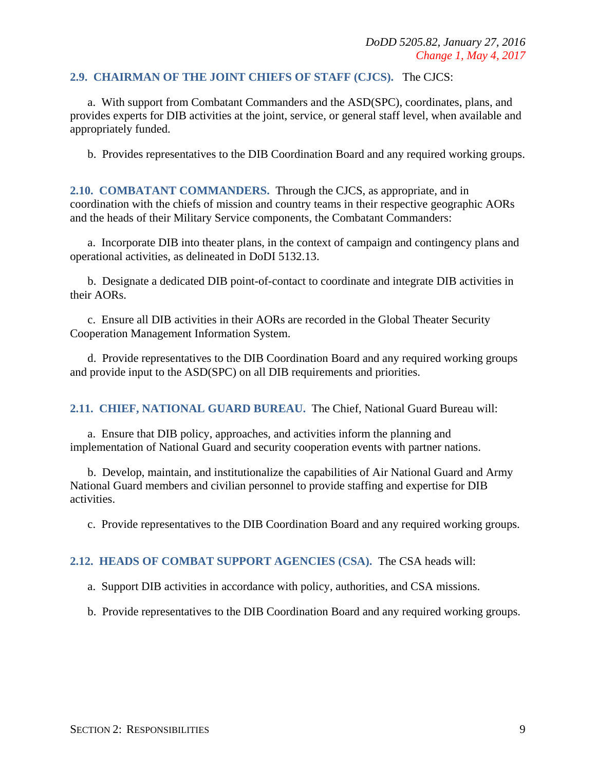#### <span id="page-8-0"></span>**2.9. CHAIRMAN OF THE JOINT CHIEFS OF STAFF (CJCS).** The CJCS:

a. With support from Combatant Commanders and the ASD(SPC), coordinates, plans, and provides experts for DIB activities at the joint, service, or general staff level, when available and appropriately funded.

b. Provides representatives to the DIB Coordination Board and any required working groups.

<span id="page-8-1"></span>**2.10. COMBATANT COMMANDERS.** Through the CJCS, as appropriate, and in coordination with the chiefs of mission and country teams in their respective geographic AORs and the heads of their Military Service components, the Combatant Commanders:

a. Incorporate DIB into theater plans, in the context of campaign and contingency plans and operational activities, as delineated in DoDI 5132.13.

b. Designate a dedicated DIB point-of-contact to coordinate and integrate DIB activities in their AORs.

c. Ensure all DIB activities in their AORs are recorded in the Global Theater Security Cooperation Management Information System.

d. Provide representatives to the DIB Coordination Board and any required working groups and provide input to the ASD(SPC) on all DIB requirements and priorities.

<span id="page-8-2"></span>**2.11. CHIEF, NATIONAL GUARD BUREAU.** The Chief, National Guard Bureau will:

a. Ensure that DIB policy, approaches, and activities inform the planning and implementation of National Guard and security cooperation events with partner nations.

b. Develop, maintain, and institutionalize the capabilities of Air National Guard and Army National Guard members and civilian personnel to provide staffing and expertise for DIB activities.

c. Provide representatives to the DIB Coordination Board and any required working groups.

#### <span id="page-8-3"></span>**2.12. HEADS OF COMBAT SUPPORT AGENCIES (CSA).** The CSA heads will:

a. Support DIB activities in accordance with policy, authorities, and CSA missions.

b. Provide representatives to the DIB Coordination Board and any required working groups.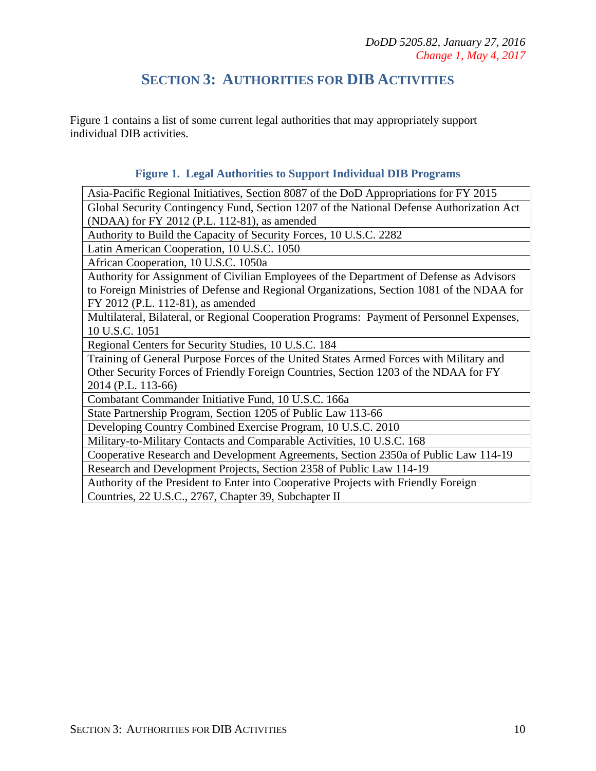## **SECTION 3: AUTHORITIES FOR DIB ACTIVITIES**

<span id="page-9-0"></span>Figure 1 contains a list of some current legal authorities that may appropriately support individual DIB activities.

#### **Figure 1. Legal Authorities to Support Individual DIB Programs**

Asia-Pacific Regional Initiatives, Section 8087 of the DoD Appropriations for FY 2015 Global Security Contingency Fund, Section 1207 of the National Defense Authorization Act (NDAA) for FY 2012 (P.L. 112-81), as amended

Authority to Build the Capacity of Security Forces, 10 U.S.C. 2282

Latin American Cooperation, 10 U.S.C. 1050

African Cooperation, 10 U.S.C. 1050a

Authority for Assignment of Civilian Employees of the Department of Defense as Advisors to Foreign Ministries of Defense and Regional Organizations, Section 1081 of the NDAA for FY 2012 (P.L. 112-81), as amended

Multilateral, Bilateral, or Regional Cooperation Programs: Payment of Personnel Expenses, 10 U.S.C. 1051

Regional Centers for Security Studies, 10 U.S.C. 184

Training of General Purpose Forces of the United States Armed Forces with Military and Other Security Forces of Friendly Foreign Countries, Section 1203 of the NDAA for FY 2014 (P.L. 113-66)

Combatant Commander Initiative Fund, 10 U.S.C. 166a

State Partnership Program, Section 1205 of Public Law 113-66

Developing Country Combined Exercise Program, 10 U.S.C. 2010

Military-to-Military Contacts and Comparable Activities, 10 U.S.C. 168

Cooperative Research and Development Agreements, Section 2350a of Public Law 114-19

Research and Development Projects, Section 2358 of Public Law 114-19

Authority of the President to Enter into Cooperative Projects with Friendly Foreign Countries, 22 U.S.C., 2767, Chapter 39, Subchapter II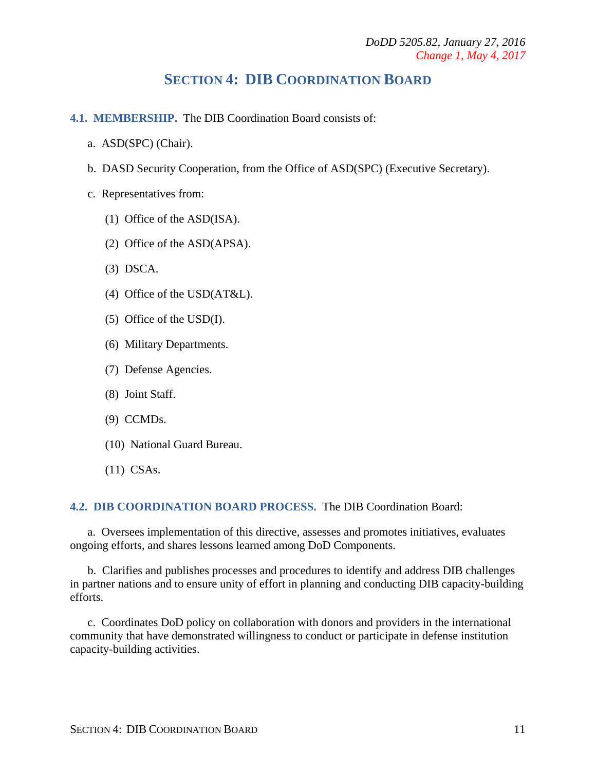## **SECTION 4: DIB COORDINATION BOARD**

- <span id="page-10-1"></span><span id="page-10-0"></span>**4.1. MEMBERSHIP.** The DIB Coordination Board consists of:
	- a. ASD(SPC) (Chair).
	- b. DASD Security Cooperation, from the Office of ASD(SPC) (Executive Secretary).
	- c. Representatives from:
		- (1) Office of the ASD(ISA).
		- (2) Office of the ASD(APSA).
		- (3) DSCA.
		- (4) Office of the USD(AT&L).
		- (5) Office of the USD(I).
		- (6) Military Departments.
		- (7) Defense Agencies.
		- (8) Joint Staff.
		- (9) CCMDs.
		- (10) National Guard Bureau.
		- (11) CSAs.

#### <span id="page-10-2"></span>**4.2. DIB COORDINATION BOARD PROCESS.** The DIB Coordination Board:

a. Oversees implementation of this directive, assesses and promotes initiatives, evaluates ongoing efforts, and shares lessons learned among DoD Components.

b. Clarifies and publishes processes and procedures to identify and address DIB challenges in partner nations and to ensure unity of effort in planning and conducting DIB capacity-building efforts.

c. Coordinates DoD policy on collaboration with donors and providers in the international community that have demonstrated willingness to conduct or participate in defense institution capacity-building activities.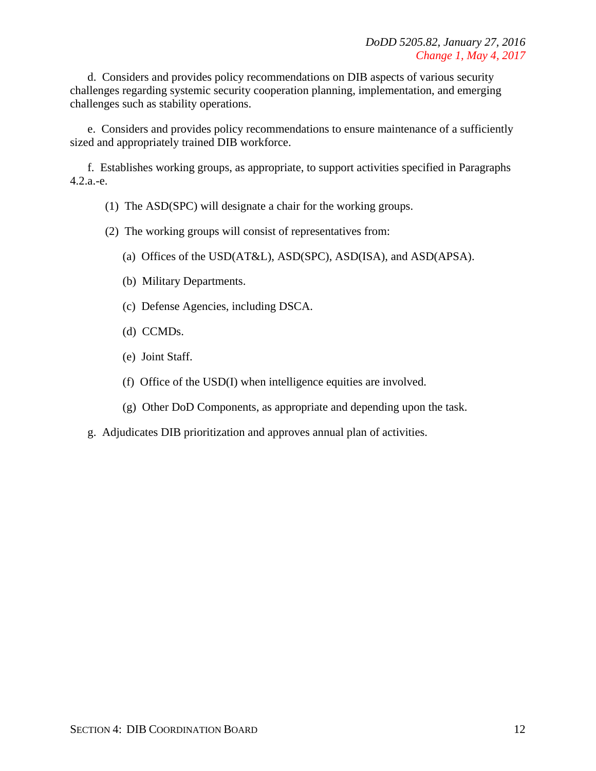d. Considers and provides policy recommendations on DIB aspects of various security challenges regarding systemic security cooperation planning, implementation, and emerging challenges such as stability operations.

e. Considers and provides policy recommendations to ensure maintenance of a sufficiently sized and appropriately trained DIB workforce.

f. Establishes working groups, as appropriate, to support activities specified in Paragraphs 4.2.a.-e.

- (1) The ASD(SPC) will designate a chair for the working groups.
- (2) The working groups will consist of representatives from:
	- (a) Offices of the USD(AT&L), ASD(SPC), ASD(ISA), and ASD(APSA).
	- (b) Military Departments.
	- (c) Defense Agencies, including DSCA.
	- (d) CCMDs.
	- (e) Joint Staff.
	- (f) Office of the USD(I) when intelligence equities are involved.
	- (g) Other DoD Components, as appropriate and depending upon the task.
- g. Adjudicates DIB prioritization and approves annual plan of activities.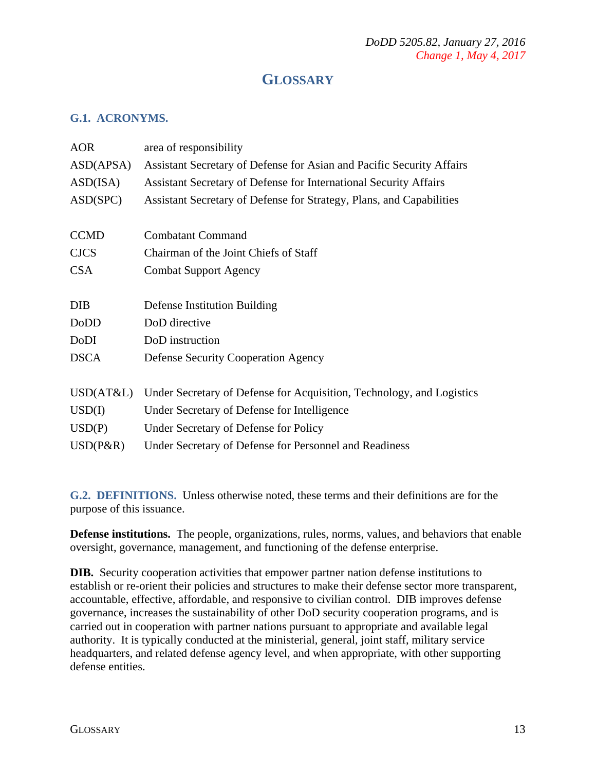## **GLOSSARY**

#### <span id="page-12-1"></span><span id="page-12-0"></span>**G.1. ACRONYMS.**

| <b>AOR</b>  | area of responsibility                                                |  |  |
|-------------|-----------------------------------------------------------------------|--|--|
| ASD(APSA)   | Assistant Secretary of Defense for Asian and Pacific Security Affairs |  |  |
| ASD(ISA)    | Assistant Secretary of Defense for International Security Affairs     |  |  |
| ASD(SPC)    | Assistant Secretary of Defense for Strategy, Plans, and Capabilities  |  |  |
|             |                                                                       |  |  |
| <b>CCMD</b> | <b>Combatant Command</b>                                              |  |  |
| <b>CJCS</b> | Chairman of the Joint Chiefs of Staff                                 |  |  |
| <b>CSA</b>  | <b>Combat Support Agency</b>                                          |  |  |
|             |                                                                       |  |  |
| <b>DIB</b>  | Defense Institution Building                                          |  |  |
| <b>DoDD</b> | DoD directive                                                         |  |  |
| DoDI        | DoD instruction                                                       |  |  |
| <b>DSCA</b> | <b>Defense Security Cooperation Agency</b>                            |  |  |
|             |                                                                       |  |  |
| USD(AT&L)   | Under Secretary of Defense for Acquisition, Technology, and Logistics |  |  |
| USD(I)      | Under Secretary of Defense for Intelligence                           |  |  |
| USD(P)      | Under Secretary of Defense for Policy                                 |  |  |
| $USD(P\&R)$ | Under Secretary of Defense for Personnel and Readiness                |  |  |

<span id="page-12-2"></span>**G.2. DEFINITIONS.** Unless otherwise noted, these terms and their definitions are for the purpose of this issuance.

**Defense institutions.** The people, organizations, rules, norms, values, and behaviors that enable oversight, governance, management, and functioning of the defense enterprise.

**DIB.** Security cooperation activities that empower partner nation defense institutions to establish or re-orient their policies and structures to make their defense sector more transparent, accountable, effective, affordable, and responsive to civilian control. DIB improves defense governance, increases the sustainability of other DoD security cooperation programs, and is carried out in cooperation with partner nations pursuant to appropriate and available legal authority. It is typically conducted at the ministerial, general, joint staff, military service headquarters, and related defense agency level, and when appropriate, with other supporting defense entities.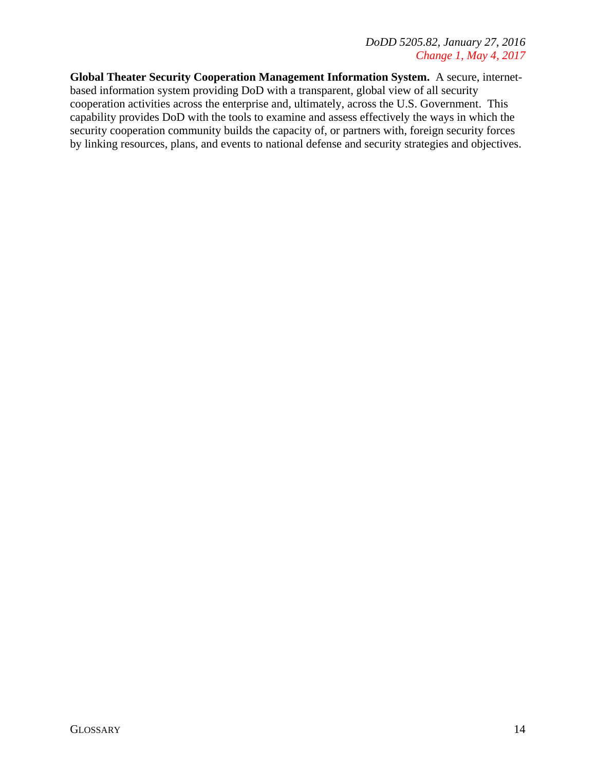**Global Theater Security Cooperation Management Information System.** A secure, internetbased information system providing DoD with a transparent, global view of all security cooperation activities across the enterprise and, ultimately, across the U.S. Government. This capability provides DoD with the tools to examine and assess effectively the ways in which the security cooperation community builds the capacity of, or partners with, foreign security forces by linking resources, plans, and events to national defense and security strategies and objectives.